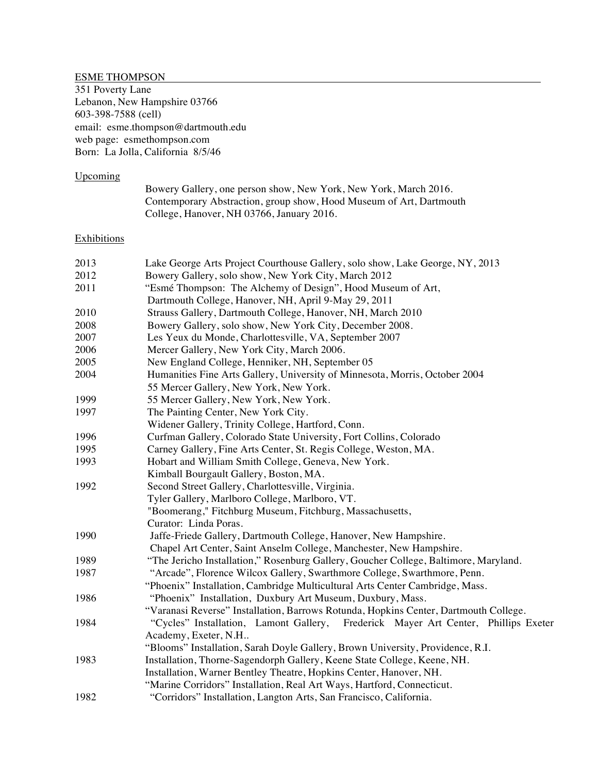### ESME THOMPSON

351 Poverty Lane Lebanon, New Hampshire 03766 603-398-7588 (cell) email: esme.thompson@dartmouth.edu web page: esmethompson.com Born: La Jolla, California 8/5/46

# Upcoming

| Bowery Gallery, one person show, New York, New York, March 2016.    |
|---------------------------------------------------------------------|
| Contemporary Abstraction, group show, Hood Museum of Art, Dartmouth |
| College, Hanover, NH 03766, January 2016.                           |

# **Exhibitions**

| 2013 | Lake George Arts Project Courthouse Gallery, solo show, Lake George, NY, 2013         |
|------|---------------------------------------------------------------------------------------|
| 2012 | Bowery Gallery, solo show, New York City, March 2012                                  |
| 2011 | "Esmé Thompson: The Alchemy of Design", Hood Museum of Art,                           |
|      | Dartmouth College, Hanover, NH, April 9-May 29, 2011                                  |
| 2010 | Strauss Gallery, Dartmouth College, Hanover, NH, March 2010                           |
| 2008 | Bowery Gallery, solo show, New York City, December 2008.                              |
| 2007 | Les Yeux du Monde, Charlottesville, VA, September 2007                                |
| 2006 | Mercer Gallery, New York City, March 2006.                                            |
| 2005 | New England College, Henniker, NH, September 05                                       |
| 2004 | Humanities Fine Arts Gallery, University of Minnesota, Morris, October 2004           |
|      | 55 Mercer Gallery, New York, New York.                                                |
| 1999 | 55 Mercer Gallery, New York, New York.                                                |
| 1997 | The Painting Center, New York City.                                                   |
|      | Widener Gallery, Trinity College, Hartford, Conn.                                     |
| 1996 | Curfman Gallery, Colorado State University, Fort Collins, Colorado                    |
| 1995 | Carney Gallery, Fine Arts Center, St. Regis College, Weston, MA.                      |
| 1993 | Hobart and William Smith College, Geneva, New York.                                   |
|      | Kimball Bourgault Gallery, Boston, MA.                                                |
| 1992 | Second Street Gallery, Charlottesville, Virginia.                                     |
|      | Tyler Gallery, Marlboro College, Marlboro, VT.                                        |
|      | "Boomerang," Fitchburg Museum, Fitchburg, Massachusetts,                              |
|      | Curator: Linda Poras.                                                                 |
| 1990 | Jaffe-Friede Gallery, Dartmouth College, Hanover, New Hampshire.                      |
|      | Chapel Art Center, Saint Anselm College, Manchester, New Hampshire.                   |
| 1989 | "The Jericho Installation," Rosenburg Gallery, Goucher College, Baltimore, Maryland.  |
| 1987 | "Arcade", Florence Wilcox Gallery, Swarthmore College, Swarthmore, Penn.              |
|      | "Phoenix" Installation, Cambridge Multicultural Arts Center Cambridge, Mass.          |
| 1986 | "Phoenix" Installation, Duxbury Art Museum, Duxbury, Mass.                            |
|      | "Varanasi Reverse" Installation, Barrows Rotunda, Hopkins Center, Dartmouth College.  |
| 1984 | "Cycles" Installation, Lamont Gallery,<br>Frederick Mayer Art Center, Phillips Exeter |
|      | Academy, Exeter, N.H                                                                  |
|      | "Blooms" Installation, Sarah Doyle Gallery, Brown University, Providence, R.I.        |
| 1983 | Installation, Thorne-Sagendorph Gallery, Keene State College, Keene, NH.              |
|      | Installation, Warner Bentley Theatre, Hopkins Center, Hanover, NH.                    |
|      | "Marine Corridors" Installation, Real Art Ways, Hartford, Connecticut.                |
| 1982 | "Corridors" Installation, Langton Arts, San Francisco, California.                    |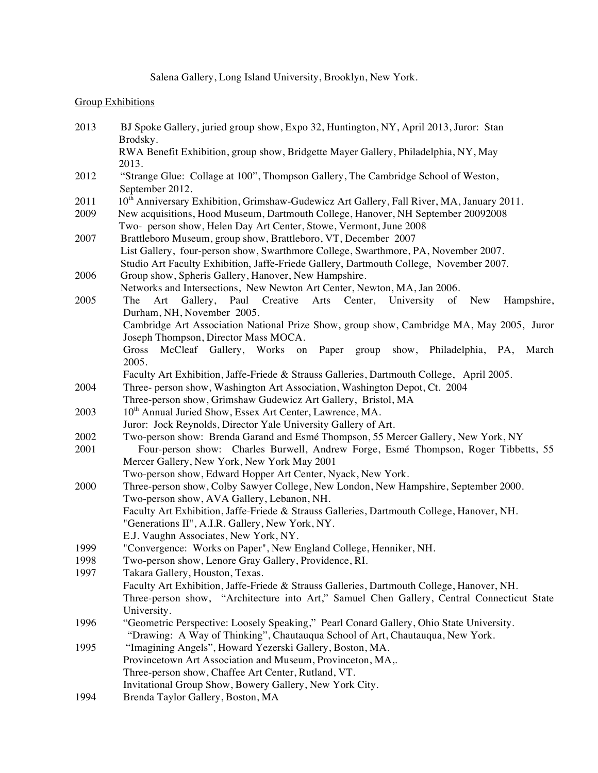# Salena Gallery, Long Island University, Brooklyn, New York.

# **Group Exhibitions**

| 2013         | BJ Spoke Gallery, juried group show, Expo 32, Huntington, NY, April 2013, Juror: Stan                                      |
|--------------|----------------------------------------------------------------------------------------------------------------------------|
|              | Brodsky.                                                                                                                   |
|              | RWA Benefit Exhibition, group show, Bridgette Mayer Gallery, Philadelphia, NY, May<br>2013.                                |
| 2012         | "Strange Glue: Collage at 100", Thompson Gallery, The Cambridge School of Weston,                                          |
|              | September 2012.                                                                                                            |
| 2011         | 10 <sup>th</sup> Anniversary Exhibition, Grimshaw-Gudewicz Art Gallery, Fall River, MA, January 2011.                      |
| 2009         | New acquisitions, Hood Museum, Dartmouth College, Hanover, NH September 20092008                                           |
|              | Two- person show, Helen Day Art Center, Stowe, Vermont, June 2008                                                          |
| 2007         | Brattleboro Museum, group show, Brattleboro, VT, December 2007                                                             |
|              | List Gallery, four-person show, Swarthmore College, Swarthmore, PA, November 2007.                                         |
|              | Studio Art Faculty Exhibition, Jaffe-Friede Gallery, Dartmouth College, November 2007.                                     |
| 2006         | Group show, Spheris Gallery, Hanover, New Hampshire.                                                                       |
|              | Networks and Intersections, New Newton Art Center, Newton, MA, Jan 2006.                                                   |
| 2005         | Gallery,<br>Paul Creative<br>Arts<br>Center,<br>University<br>New<br>Hampshire,<br>The<br>Art<br>of                        |
|              | Durham, NH, November 2005.                                                                                                 |
|              | Cambridge Art Association National Prize Show, group show, Cambridge MA, May 2005, Juror                                   |
|              | Joseph Thompson, Director Mass MOCA.                                                                                       |
|              | Gross McCleaf Gallery, Works on<br>Paper<br>group show, Philadelphia, PA, March<br>2005.                                   |
|              | Faculty Art Exhibition, Jaffe-Friede & Strauss Galleries, Dartmouth College, April 2005.                                   |
| 2004         | Three- person show, Washington Art Association, Washington Depot, Ct. 2004                                                 |
|              | Three-person show, Grimshaw Gudewicz Art Gallery, Bristol, MA                                                              |
| 2003         | 10 <sup>th</sup> Annual Juried Show, Essex Art Center, Lawrence, MA.                                                       |
|              | Juror: Jock Reynolds, Director Yale University Gallery of Art.                                                             |
| 2002         | Two-person show: Brenda Garand and Esmé Thompson, 55 Mercer Gallery, New York, NY                                          |
| 2001         | Four-person show: Charles Burwell, Andrew Forge, Esmé Thompson, Roger Tibbetts, 55                                         |
|              | Mercer Gallery, New York, New York May 2001                                                                                |
|              | Two-person show, Edward Hopper Art Center, Nyack, New York.                                                                |
| 2000         | Three-person show, Colby Sawyer College, New London, New Hampshire, September 2000.                                        |
|              | Two-person show, AVA Gallery, Lebanon, NH.                                                                                 |
|              | Faculty Art Exhibition, Jaffe-Friede & Strauss Galleries, Dartmouth College, Hanover, NH.                                  |
|              | "Generations II", A.I.R. Gallery, New York, NY.                                                                            |
|              | E.J. Vaughn Associates, New York, NY.                                                                                      |
| 1999<br>1998 | "Convergence: Works on Paper", New England College, Henniker, NH.<br>Two-person show, Lenore Gray Gallery, Providence, RI. |
| 1997         | Takara Gallery, Houston, Texas.                                                                                            |
|              | Faculty Art Exhibition, Jaffe-Friede & Strauss Galleries, Dartmouth College, Hanover, NH.                                  |
|              | Three-person show, "Architecture into Art," Samuel Chen Gallery, Central Connecticut State                                 |
|              | University.                                                                                                                |
| 1996         | "Geometric Perspective: Loosely Speaking," Pearl Conard Gallery, Ohio State University.                                    |
|              | "Drawing: A Way of Thinking", Chautauqua School of Art, Chautauqua, New York.                                              |
| 1995         | "Imagining Angels", Howard Yezerski Gallery, Boston, MA.                                                                   |
|              | Provincetown Art Association and Museum, Provinceton, MA,.                                                                 |
|              | Three-person show, Chaffee Art Center, Rutland, VT.                                                                        |
|              | Invitational Group Show, Bowery Gallery, New York City.                                                                    |
| 1994         | Brenda Taylor Gallery, Boston, MA                                                                                          |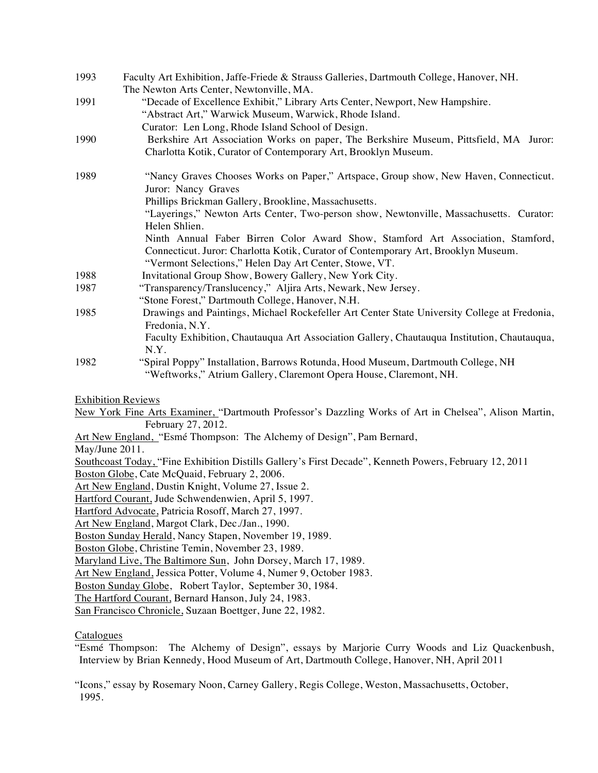| 1993           | Faculty Art Exhibition, Jaffe-Friede & Strauss Galleries, Dartmouth College, Hanover, NH.                                                                                                                                                                     |
|----------------|---------------------------------------------------------------------------------------------------------------------------------------------------------------------------------------------------------------------------------------------------------------|
| 1991           | The Newton Arts Center, Newtonville, MA.<br>"Decade of Excellence Exhibit," Library Arts Center, Newport, New Hampshire.<br>"Abstract Art," Warwick Museum, Warwick, Rhode Island.                                                                            |
| 1990           | Curator: Len Long, Rhode Island School of Design.<br>Berkshire Art Association Works on paper, The Berkshire Museum, Pittsfield, MA Juror:<br>Charlotta Kotik, Curator of Contemporary Art, Brooklyn Museum.                                                  |
| 1989           | "Nancy Graves Chooses Works on Paper," Artspace, Group show, New Haven, Connecticut.<br>Juror: Nancy Graves<br>Phillips Brickman Gallery, Brookline, Massachusetts.<br>"Layerings," Newton Arts Center, Two-person show, Newtonville, Massachusetts. Curator: |
|                | Helen Shlien.<br>Ninth Annual Faber Birren Color Award Show, Stamford Art Association, Stamford,<br>Connecticut. Juror: Charlotta Kotik, Curator of Contemporary Art, Brooklyn Museum.<br>"Vermont Selections," Helen Day Art Center, Stowe, VT.              |
| 1988           | Invitational Group Show, Bowery Gallery, New York City.                                                                                                                                                                                                       |
| 1987           | "Transparency/Translucency," Aljira Arts, Newark, New Jersey.                                                                                                                                                                                                 |
|                | "Stone Forest," Dartmouth College, Hanover, N.H.                                                                                                                                                                                                              |
| 1985           | Drawings and Paintings, Michael Rockefeller Art Center State University College at Fredonia,<br>Fredonia, N.Y.                                                                                                                                                |
|                | Faculty Exhibition, Chautauqua Art Association Gallery, Chautauqua Institution, Chautauqua,<br>N.Y.                                                                                                                                                           |
| 1982           | "Spiral Poppy" Installation, Barrows Rotunda, Hood Museum, Dartmouth College, NH<br>"Weftworks," Atrium Gallery, Claremont Opera House, Claremont, NH.                                                                                                        |
|                | <b>Exhibition Reviews</b>                                                                                                                                                                                                                                     |
|                | New York Fine Arts Examiner, "Dartmouth Professor's Dazzling Works of Art in Chelsea", Alison Martin,<br>February 27, 2012.                                                                                                                                   |
| May/June 2011. | Art New England, "Esmé Thompson: The Alchemy of Design", Pam Bernard,                                                                                                                                                                                         |
|                | Southcoast Today, "Fine Exhibition Distills Gallery's First Decade", Kenneth Powers, February 12, 2011                                                                                                                                                        |
|                | Boston Globe, Cate McQuaid, February 2, 2006.                                                                                                                                                                                                                 |
|                | Art New England, Dustin Knight, Volume 27, Issue 2.                                                                                                                                                                                                           |
|                | Hartford Courant, Jude Schwendenwien, April 5, 1997.                                                                                                                                                                                                          |
|                | Hartford Advocate, Patricia Rosoff, March 27, 1997.                                                                                                                                                                                                           |
|                | Art New England, Margot Clark, Dec./Jan., 1990.                                                                                                                                                                                                               |
|                | Boston Sunday Herald, Nancy Stapen, November 19, 1989.                                                                                                                                                                                                        |
|                | Boston Globe, Christine Temin, November 23, 1989.                                                                                                                                                                                                             |
|                | Maryland Live, The Baltimore Sun, John Dorsey, March 17, 1989.                                                                                                                                                                                                |
|                | Art New England, Jessica Potter, Volume 4, Numer 9, October 1983.                                                                                                                                                                                             |
|                | Boston Sunday Globe, Robert Taylor, September 30, 1984.                                                                                                                                                                                                       |
|                | The Hartford Courant, Bernard Hanson, July 24, 1983.                                                                                                                                                                                                          |
|                | San Francisco Chronicle, Suzaan Boettger, June 22, 1982.                                                                                                                                                                                                      |
| Catalogues     |                                                                                                                                                                                                                                                               |

"Esmé Thompson: The Alchemy of Design", essays by Marjorie Curry Woods and Liz Quackenbush, Interview by Brian Kennedy, Hood Museum of Art, Dartmouth College, Hanover, NH, April 2011

"Icons," essay by Rosemary Noon, Carney Gallery, Regis College, Weston, Massachusetts, October, 1995.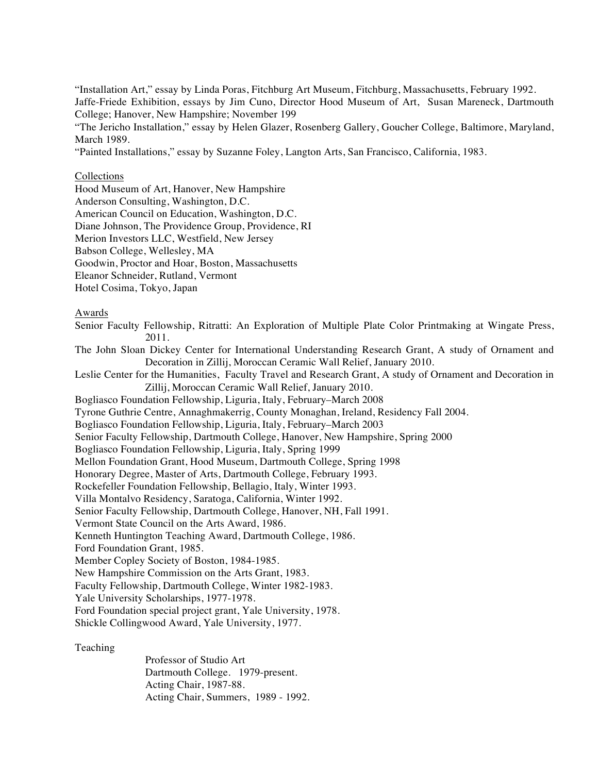"Installation Art," essay by Linda Poras, Fitchburg Art Museum, Fitchburg, Massachusetts, February 1992. Jaffe-Friede Exhibition, essays by Jim Cuno, Director Hood Museum of Art, Susan Mareneck, Dartmouth College; Hanover, New Hampshire; November 199

"The Jericho Installation," essay by Helen Glazer, Rosenberg Gallery, Goucher College, Baltimore, Maryland, March 1989.

"Painted Installations," essay by Suzanne Foley, Langton Arts, San Francisco, California, 1983.

# Collections

Hood Museum of Art, Hanover, New Hampshire Anderson Consulting, Washington, D.C. American Council on Education, Washington, D.C. Diane Johnson, The Providence Group, Providence, RI Merion Investors LLC, Westfield, New Jersey Babson College, Wellesley, MA Goodwin, Proctor and Hoar, Boston, Massachusetts Eleanor Schneider, Rutland, Vermont Hotel Cosima, Tokyo, Japan

#### Awards

Senior Faculty Fellowship, Ritratti: An Exploration of Multiple Plate Color Printmaking at Wingate Press, 2011.

The John Sloan Dickey Center for International Understanding Research Grant, A study of Ornament and Decoration in Zillij, Moroccan Ceramic Wall Relief, January 2010.

Leslie Center for the Humanities, Faculty Travel and Research Grant, A study of Ornament and Decoration in Zillij, Moroccan Ceramic Wall Relief, January 2010.

Bogliasco Foundation Fellowship, Liguria, Italy, February–March 2008

Tyrone Guthrie Centre, Annaghmakerrig, County Monaghan, Ireland, Residency Fall 2004.

Bogliasco Foundation Fellowship, Liguria, Italy, February–March 2003

Senior Faculty Fellowship, Dartmouth College, Hanover, New Hampshire, Spring 2000

Bogliasco Foundation Fellowship, Liguria, Italy, Spring 1999

Mellon Foundation Grant, Hood Museum, Dartmouth College, Spring 1998

Honorary Degree, Master of Arts, Dartmouth College, February 1993.

Rockefeller Foundation Fellowship, Bellagio, Italy, Winter 1993.

Villa Montalvo Residency, Saratoga, California, Winter 1992.

Senior Faculty Fellowship, Dartmouth College, Hanover, NH, Fall 1991.

Vermont State Council on the Arts Award, 1986.

Kenneth Huntington Teaching Award, Dartmouth College, 1986.

Ford Foundation Grant, 1985.

Member Copley Society of Boston, 1984-1985.

New Hampshire Commission on the Arts Grant, 1983.

Faculty Fellowship, Dartmouth College, Winter 1982-1983.

Yale University Scholarships, 1977-1978.

Ford Foundation special project grant, Yale University, 1978.

Shickle Collingwood Award, Yale University, 1977.

### Teaching

Professor of Studio Art Dartmouth College. 1979-present. Acting Chair, 1987-88. Acting Chair, Summers, 1989 - 1992.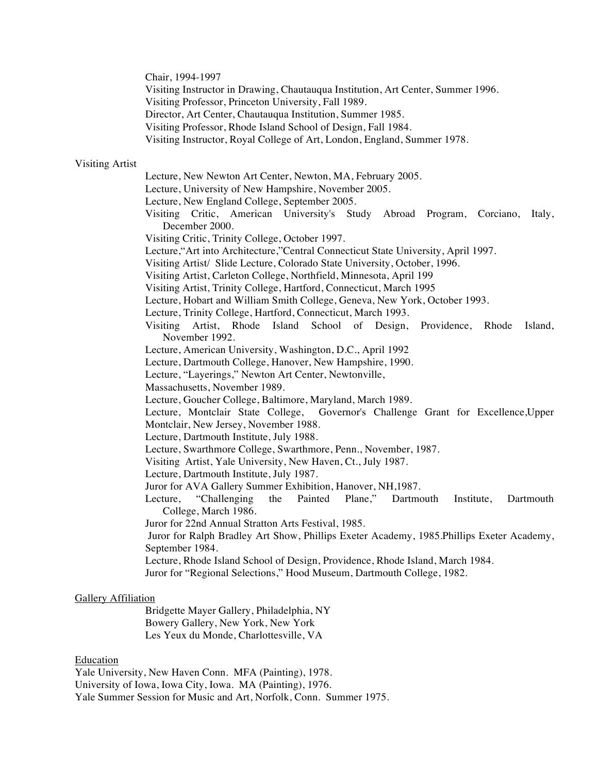Chair, 1994-1997

Visiting Instructor in Drawing, Chautauqua Institution, Art Center, Summer 1996.

Visiting Professor, Princeton University, Fall 1989.

Director, Art Center, Chautauqua Institution, Summer 1985.

Visiting Professor, Rhode Island School of Design, Fall 1984.

Visiting Instructor, Royal College of Art, London, England, Summer 1978.

#### Visiting Artist

Lecture, New Newton Art Center, Newton, MA, February 2005.

Lecture, University of New Hampshire, November 2005.

Lecture, New England College, September 2005.

Visiting Critic, American University's Study Abroad Program, Corciano, Italy, December 2000.

Visiting Critic, Trinity College, October 1997.

Lecture,"Art into Architecture,"Central Connecticut State University, April 1997.

Visiting Artist/ Slide Lecture, Colorado State University, October, 1996.

Visiting Artist, Carleton College, Northfield, Minnesota, April 199

Visiting Artist, Trinity College, Hartford, Connecticut, March 1995

Lecture, Hobart and William Smith College, Geneva, New York, October 1993.

Lecture, Trinity College, Hartford, Connecticut, March 1993.

Visiting Artist, Rhode Island School of Design, Providence, Rhode Island, November 1992.

Lecture, American University, Washington, D.C., April 1992

Lecture, Dartmouth College, Hanover, New Hampshire, 1990.

Lecture, "Layerings," Newton Art Center, Newtonville,

Massachusetts, November 1989.

Lecture, Goucher College, Baltimore, Maryland, March 1989.

 Lecture, Montclair State College, Governor's Challenge Grant for Excellence,Upper Montclair, New Jersey, November 1988.

Lecture, Dartmouth Institute, July 1988.

Lecture, Swarthmore College, Swarthmore, Penn., November, 1987.

Visiting Artist, Yale University, New Haven, Ct., July 1987.

Lecture, Dartmouth Institute, July 1987.

Juror for AVA Gallery Summer Exhibition, Hanover, NH,1987.

Lecture, "Challenging the Painted Plane," Dartmouth Institute, Dartmouth College, March 1986.

Juror for 22nd Annual Stratton Arts Festival, 1985.

 Juror for Ralph Bradley Art Show, Phillips Exeter Academy, 1985.Phillips Exeter Academy, September 1984.

Lecture, Rhode Island School of Design, Providence, Rhode Island, March 1984.

Juror for "Regional Selections," Hood Museum, Dartmouth College, 1982.

## Gallery Affiliation

Bridgette Mayer Gallery, Philadelphia, NY Bowery Gallery, New York, New York Les Yeux du Monde, Charlottesville, VA

### Education

Yale University, New Haven Conn. MFA (Painting), 1978. University of Iowa, Iowa City, Iowa. MA (Painting), 1976. Yale Summer Session for Music and Art, Norfolk, Conn. Summer 1975.